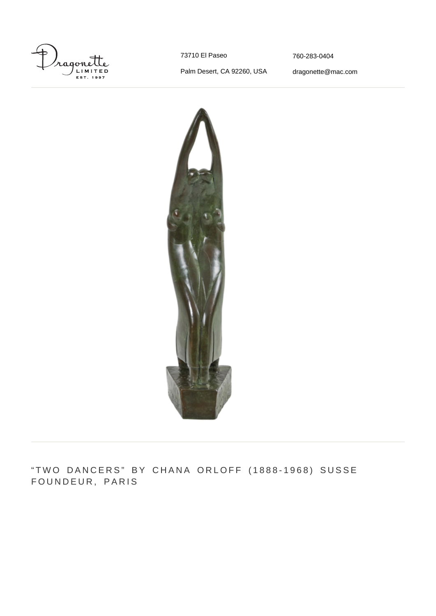

73710 El Paseo

[760-283-0404](#page--1-0)

Palm Desert, CA 92260, USA

[dragonette@mac.com](mailto:dragonette@mac.com)



"TWO DANCERS" BY CHANA ORLOFF (1888-1968) SUSSE FOUNDEUR, PARIS